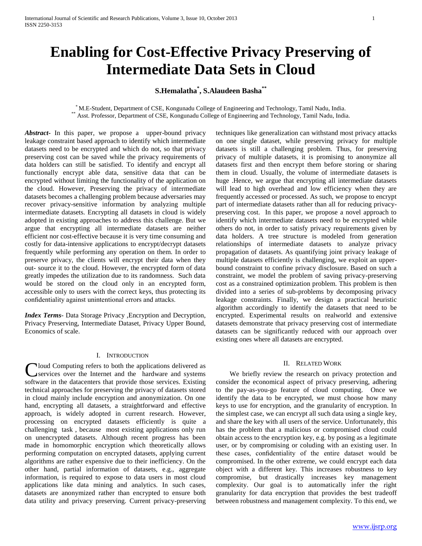# **Enabling for Cost-Effective Privacy Preserving of Intermediate Data Sets in Cloud**

# **S.Hemalatha\* , S.Alaudeen Basha\*\***

\* M.E-Student, Department of CSE, Kongunadu College of Engineering and Technology, Tamil Nadu, India. \*\* Asst. Professor, Department of CSE, Kongunadu College of Engineering and Technology, Tamil Nadu, India.

*Abstract***-** In this paper, we propose a upper-bound privacy leakage constraint based approach to identify which intermediate datasets need to be encrypted and which do not, so that privacy preserving cost can be saved while the privacy requirements of data holders can still be satisfied. To identify and encrypt all functionally encrypt able data, sensitive data that can be encrypted without limiting the functionality of the application on the cloud. However, Preserving the privacy of intermediate datasets becomes a challenging problem because adversaries may recover privacy-sensitive information by analyzing multiple intermediate datasets. Encrypting all datasets in cloud is widely adopted in existing approaches to address this challenge. But we argue that encrypting all intermediate datasets are neither efficient nor cost-effective because it is very time consuming and costly for data-intensive applications to encrypt/decrypt datasets frequently while performing any operation on them. In order to preserve privacy, the clients will encrypt their data when they out- source it to the cloud. However, the encrypted form of data greatly impedes the utilization due to its randomness. Such data would be stored on the cloud only in an encrypted form, accessible only to users with the correct keys, thus protecting its confidentiality against unintentional errors and attacks.

*Index Terms*- Data Storage Privacy ,Encryption and Decryption, Privacy Preserving, Intermediate Dataset, Privacy Upper Bound, Economics of scale.

## I. INTRODUCTION

Cloud Computing refers to both the applications delivered as services over the Internet and the hardware and systems services over the Internet and the hardware and systems software in the datacenters that provide those services. Existing technical approaches for preserving the privacy of datasets stored in cloud mainly include encryption and anonymization. On one hand, encrypting all datasets, a straightforward and effective approach, is widely adopted in current research. However, processing on encrypted datasets efficiently is quite a challenging task , because most existing applications only run on unencrypted datasets. Although recent progress has been made in homomorphic encryption which theoretically allows performing computation on encrypted datasets, applying current algorithms are rather expensive due to their inefficiency. On the other hand, partial information of datasets, e.g., aggregate information, is required to expose to data users in most cloud applications like data mining and analytics. In such cases, datasets are anonymized rather than encrypted to ensure both data utility and privacy preserving. Current privacy-preserving techniques like generalization can withstand most privacy attacks on one single dataset, while preserving privacy for multiple datasets is still a challenging problem. Thus, for preserving privacy of multiple datasets, it is promising to anonymize all datasets first and then encrypt them before storing or sharing them in cloud. Usually, the volume of intermediate datasets is huge .Hence, we argue that encrypting all intermediate datasets will lead to high overhead and low efficiency when they are frequently accessed or processed. As such, we propose to encrypt part of intermediate datasets rather than all for reducing privacypreserving cost. In this paper, we propose a novel approach to identify which intermediate datasets need to be encrypted while others do not, in order to satisfy privacy requirements given by data holders. A tree structure is modeled from generation relationships of intermediate datasets to analyze privacy propagation of datasets. As quantifying joint privacy leakage of multiple datasets efficiently is challenging, we exploit an upperbound constraint to confine privacy disclosure. Based on such a constraint, we model the problem of saving privacy-preserving cost as a constrained optimization problem. This problem is then divided into a series of sub-problems by decomposing privacy leakage constraints. Finally, we design a practical heuristic algorithm accordingly to identify the datasets that need to be encrypted. Experimental results on realworld and extensive datasets demonstrate that privacy preserving cost of intermediate datasets can be significantly reduced with our approach over existing ones where all datasets are encrypted.

# II. RELATED WORK

 We briefly review the research on privacy protection and consider the economical aspect of privacy preserving, adhering to the pay-as-you-go feature of cloud computing. Once we identify the data to be encrypted, we must choose how many keys to use for encryption, and the granularity of encryption. In the simplest case, we can encrypt all such data using a single key, and share the key with all users of the service. Unfortunately, this has the problem that a malicious or compromised cloud could obtain access to the encryption key, e.g. by posing as a legitimate user, or by compromising or coluding with an existing user. In these cases, confidentiality of the entire dataset would be compromised. In the other extreme, we could encrypt each data object with a different key. This increases robustness to key compromise, but drastically increases key management complexity. Our goal is to automatically infer the right granularity for data encryption that provides the best tradeoff between robustness and management complexity. To this end, we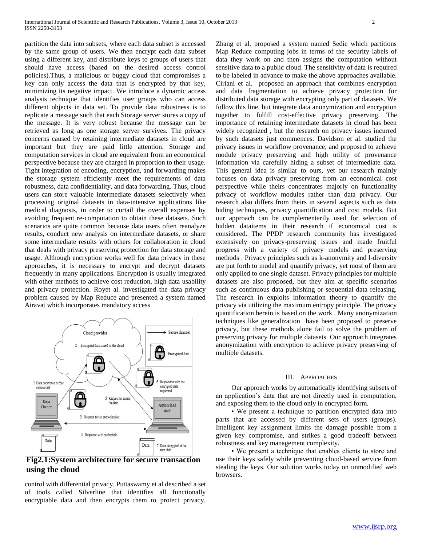partition the data into subsets, where each data subset is accessed by the same group of users. We then encrypt each data subset using a different key, and distribute keys to groups of users that should have access (based on the desired access control policies).Thus, a malicious or buggy cloud that compromises a key can only access the data that is encrypted by that key, minimizing its negative impact. We introduce a dynamic access analysis technique that identifies user groups who can access different objects in data set. To provide data robustness is to replicate a message such that each Storage server stores a copy of the message. It is very robust because the message can be retrieved as long as one storage server survives. The privacy concerns caused by retaining intermediate datasets in cloud are important but they are paid little attention. Storage and computation services in cloud are equivalent from an economical perspective because they are charged in proportion to their usage. Tight integration of encoding, encryption, and forwarding makes the storage system efficiently meet the requirements of data robustness, data confidentiality, and data forwarding. Thus, cloud users can store valuable intermediate datasets selectively when processing original datasets in data-intensive applications like medical diagnosis, in order to curtail the overall expenses by avoiding frequent re-computation to obtain these datasets. Such scenarios are quite common because data users often reanalyze results, conduct new analysis on intermediate datasets, or share some intermediate results with others for collaboration in cloud that deals with privacy preserving protection for data storage and usage. Although encryption works well for data privacy in these approaches, it is necessary to encrypt and decrypt datasets frequently in many applications. Encryption is usually integrated with other methods to achieve cost reduction, high data usability and privacy protection. Royet al. investigated the data privacy problem caused by Map Reduce and presented a system named Airavat which incorporates mandatory access



**Fig2.1:System architecture for secure transaction using the cloud**

control with differential privacy. Puttaswamy et al described a set of tools called Silverline that identifies all functionally encryptable data and then encrypts them to protect privacy.

Zhang et al. proposed a system named Sedic which partitions Map Reduce computing jobs in terms of the security labels of data they work on and then assigns the computation without sensitive data to a public cloud. The sensitivity of data is required to be labeled in advance to make the above approaches available. Ciriani et al. proposed an approach that combines encryption and data fragmentation to achieve privacy protection for distributed data storage with encrypting only part of datasets. We follow this line, but integrate data anonymization and encryption together to fulfill cost-effective privacy preserving. The importance of retaining intermediate datasets in cloud has been widely recognized , but the research on privacy issues incurred by such datasets just commences. Davidson et al. studied the privacy issues in workflow provenance, and proposed to achieve module privacy preserving and high utility of provenance information via carefully hiding a subset of intermediate data. This general idea is similar to ours, yet our research mainly focuses on data privacy preserving from an economical cost perspective while theirs concentrates majorly on functionality privacy of workflow modules rather than data privacy. Our research also differs from theirs in several aspects such as data hiding techniques, privacy quantification and cost models. But our approach can be complementarily used for selection of hidden dataitems in their research if economical cost is considered. The PPDP research community has investigated extensively on privacy-preserving issues and made fruitful progress with a variety of privacy models and preserving methods . Privacy principles such as k-anonymity and l-diversity are put forth to model and quantify privacy, yet most of them are only applied to one single dataset. Privacy principles for multiple datasets are also proposed, but they aim at specific scenarios such as continuous data publishing or sequential data releasing. The research in exploits information theory to quantify the privacy via utilizing the maximum entropy principle. The privacy quantification herein is based on the work . Many anonymization techniques like generalization have been proposed to preserve privacy, but these methods alone fail to solve the problem of preserving privacy for multiple datasets. Our approach integrates anonymization with encryption to achieve privacy preserving of multiple datasets.

#### III. APPROACHES

 Our approach works by automatically identifying subsets of an application's data that are not directly used in computation, and exposing them to the cloud only in encrypted form.

 • We present a technique to partition encrypted data into parts that are accessed by different sets of users (groups). Intelligent key assignment limits the damage possible from a given key compromise, and strikes a good tradeoff between robustness and key management complexity.

 • We present a technique that enables clients to store and use their keys safely while preventing cloud-based service from stealing the keys. Our solution works today on unmodified web browsers.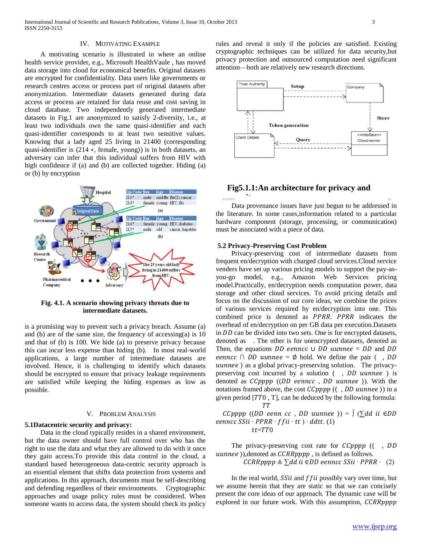## IV. MOTIVATING EXAMPLE

 A motivating scenario is illustrated in where an online health service provider, e.g., Microsoft HealthVaule , has moved data storage into cloud for economical benefits. Original datasets are encrypted for confidentiality. Data users like governments or research centres access or process part of original datasets after anonymization. Intermediate datasets generated during data access or process are retained for data reuse and cost saving in cloud database. Two independently generated intermediate datasets in Fig.1 are anonymized to satisfy 2-diversity, i.e., at least two individuals own the same quasi-identifier and each quasi-identifier corresponds to at least two sensitive values. Knowing that a lady aged 25 living in 21400 (corresponding quasi-identifier is  $(214$  ∗, female, young)) is in both datasets, an adversary can infer that this individual suffers from HIV with high confidence if (a) and (b) are collected together. Hiding (a) or (b) by encryption



**Fig. 4.1. A scenario showing privacy threats due to intermediate datasets.**

is a promising way to prevent such a privacy breach. Assume (a) and (b) are of the same size, the frequency of accessing(a) is 10 and that of (b) is 100. We hide (a) to preserve privacy because this can incur less expense than hiding (b). In most real-world applications, a large number of intermediate datasets are involved. Hence, it is challenging to identify which datasets should be encrypted to ensure that privacy leakage requirements are satisfied while keeping the hiding expenses as low as possible.

## V. PROBLEM ANALYSIS

# **5.1Datacentric security and privacy:**

 Data in the cloud typically resides in a shared environment, but the data owner should have full control over who has the right to use the data and what they are allowed to do with it once they gain access.To provide this data control in the cloud, a standard based heterogeneous data-centric security approach is an essential element that shifts data protection from systems and applications. In this approach, documents must be self-describing and defending regardless of their environments. Cryptographic approaches and usage policy rules must be considered. When someone wants to access data, the system should check its policy

rules and reveal it only if the policies are satisfied. Existing cryptographic techniques can be utilized for data security,but privacy protection and outsourced computation need significant attention—both are relatively new research directions.



# **Fig5.1.1:An architecture for privacy and**

 Data provenance issues have just begun to be addressed in the literature. In some cases,information related to a particular hardware component (storage, processing, or communication) must be associated with a piece of data.

#### **5.2 Privacy-Preserving Cost Problem**

**security**

 Privacy-preserving cost of intermediate datasets from frequent en/decryption with charged cloud services.Cloud service venders have set up various pricing models to support the pay-asyou-go model, e.g., Amazon Web Services pricing model.Practically, en/decryption needs computation power, data storage and other cloud services. To avoid pricing details and focus on the discussion of our core ideas, we combine the prices of various services required by en/decryption into one. This combined price is denoted as PPRR. PPRR indicates the overhead of en/decryption on per GB data per execution.Datasets in  $DD$  can be divided into two sets. One is for encrypted datasets, denoted as . The other is for unencrypted datasets, denoted as Then, the equations  $DD$  eenncc  $\cup$  DD uunnee = DD and DD eenncc  $\cap$  DD uunnee =  $\emptyset$  hold. We define the pair  $\langle$ , DD  $a$ uunnee) as a global privacy-preserving solution. The privacypreserving cost incurred by a solution  $\langle , DD \space$  *uunnee*  $\rangle$  is denoted as  $C C p p p p$  ( $\langle D D$  eenncc,  $D D$  uunnee)). With the notations framed above, the cost  $\mathcal{C}Cpppp$  ( $\langle ,DD$  uunnee)) in a given period  $[TT0, T]$ , can be deduced by the following formula: TТ

 $\mathcal{C}Cpppp$  ( $\langle DD \; eenn \; cc \; , \; DD \; uunnee \; \rangle$ ) =  $\int (\sum dd \; ii \; \in DD \;$  $\mathit{eenncc}$   $\mathit{SSii} \cdot \mathit{PPRR} \cdot \mathit{ffii} \cdot \mathit{tt} \cdot \mathit{ddtt}.$  (1)

 $tt = TT0$ 

The privacy-preserving cost rate for  $C\mathcal{C}pppp$   $( \langle , DD \rangle )$  $u$ unnee  $)$ , denoted as  $CCRRpppp$ , is defined as follows.

 $CCRRpppp \triangleq \sum dd$  ii  $\in$ DD eenncc SSii · PPRR · (2)

In the real world,  $SSii$  and  $ffii$  possibly vary over time, but we assume herein that they are static so that we can concisely present the core ideas of our approach. The dynamic case will be explored in our future work. With this assumption, *CCRRpppp*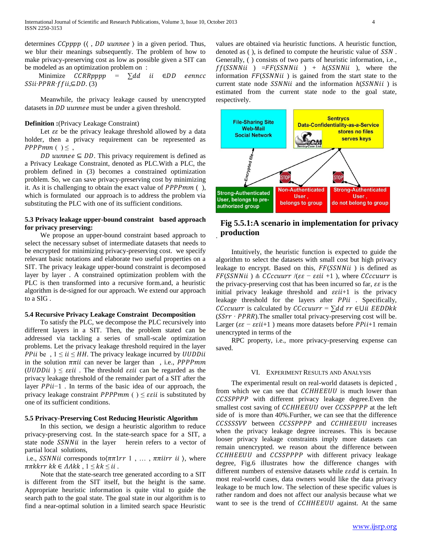determines  $\mathcal{C}Cpppp$  ( $\langle , DD \space \text{uunnee} \rangle$  in a given period. Thus, we blur their meanings subsequently. The problem of how to make privacy-preserving cost as low as possible given a SIT can be modeled as an optimization problem on :

Minimize  $CCRRpppp = \sum dd$  ii  $\in DD$  eenncc  $SSii$ <sup>•</sup> $PPRR$ <sup>•</sup> $fii$ <sup> $\subseteq$ </sup> $DD$ . (3)

 Meanwhile, the privacy leakage caused by unencrypted datasets in  $DD$  *uunnee* must be under a given threshold.

# **Definition :**(Privacy Leakage Constraint)

Let  $\epsilon \epsilon$  be the privacy leakage threshold allowed by a data holder, then a privacy requirement can be represented as  $PPPPmm$  ( )  $\leq$  ,

 $DD$  uunnee  $\subseteq$  DD. This privacy requirement is defined as a Privacy Leakage Constraint, denoted as PLC.With a PLC, the problem defined in (3) becomes a constrained optimization problem. So, we can save privacy-preserving cost by minimizing it. As it is challenging to obtain the exact value of  $PPPPmm$  (), which is formulated our approach is to address the problem via substituting the PLC with one of its sufficient conditions.

# **5.3 Privacy leakage upper-bound constraint based approach for privacy preserving:**

 We propose an upper-bound constraint based approach to select the necessary subset of intermediate datasets that needs to be encrypted for minimizing privacy-preserving cost. we specify relevant basic notations and elaborate two useful properties on a SIT. The privacy leakage upper-bound constraint is decomposed layer by layer . A constrained optimization problem with the PLC is then transformed into a recursive form.and, a heuristic algorithm is de-signed for our approach. We extend our approach to a SIG .

# **5.4 Recursive Privacy Leakage Constraint Decomposition**

 To satisfy the PLC, we decompose the PLC recursively into different layers in a SIT. Then, the problem stated can be addressed via tackling a series of small-scale optimization problems. Let the privacy leakage threshold required in the layer *PPii* be,  $1 \leq ii \leq HH$ . The privacy leakage incurred by *UUDDii* in the solution  $\pi \pi i i$  can never be larger than , i.e., PPPPmm (*UUDDii*)  $\le$   $\epsilon \epsilon i i$ . The threshold  $\epsilon \epsilon i i$  can be regarded as the privacy leakage threshold of the remainder part of a SIT after the layer *PPii*-1. In terms of the basic idea of our approach, the privacy leakage constraint  $PPPPmm$  ( )  $\leq$  *sett* is substituted by one of its sufficient conditions.

## **5.5 Privacy-Preserving Cost Reducing Heuristic Algorithm**

 In this section, we design a heuristic algorithm to reduce privacy-preserving cost. In the state-search space for a SIT, a state node *SSNNii* in the layer herein refers to a vector of partial local solutions,

i.e., SSNNii corresponds to $\langle \pi \pi 1rr 1, \ldots, \pi \pi i irr ii \rangle$ , where  $\pi \pi k k r$   $k k \in \Lambda \Lambda k k$ ,  $1 \leq k k \leq i i$ .

 Note that the state-search tree generated according to a SIT is different from the SIT itself, but the height is the same. Appropriate heuristic information is quite vital to guide the search path to the goal state. The goal state in our algorithm is to find a near-optimal solution in a limited search space Heuristic

values are obtained via heuristic functions. A heuristic function, denoted as  $( )$ , is defined to compute the heuristic value of  $SSN$ . Generally, ( ) consists of two parts of heuristic information, i.e.,  $ff(SSNNii) = FF(SSNNii) + h(SSNNii)$ , where the information  $FF(SSNNii)$  is gained from the start state to the current state node  $SSNNii$  and the information  $h(SSNNii)$  is estimated from the current state node to the goal state, respectively.



#### . **Fig 5.5.1:A scenario in implementation for privacy production**

 Intuitively, the heuristic function is expected to guide the algorithm to select the datasets with small cost but high privacy leakage to encrypt. Based on this,  $FF(SSNNii)$  is defined as  $FF(SSNNii) \triangleq CCCuurr /(\varepsilon \varepsilon - \varepsilon \varepsilon ii +1)$ , where  $CCcuurr$  is the privacy-preserving cost that has been incurred so far,  $\varepsilon \varepsilon$  is the initial privacy leakage threshold and  $\varepsilon \varepsilon i i+1$  is the privacy leakage threshold for the layers after  $P P i i$ . Specifically, *CCccuurr* is calculated by *CCccuurr* =  $\sum$ *dd rr*  $\in$ U*ii EEDDkk*  $(SSrr \cdot PPRR)$ . The smaller total privacy-preserving cost will be. Larger ( $\epsilon \epsilon$  –  $\epsilon \epsilon i i+1$ ) means more datasets before *PPii*+1 remain unencrypted in terms of the

 RPC property, i.e., more privacy-preserving expense can saved.

## VI. EXPERIMENT RESULTS AND ANALYSIS

 The experimental result on real-world datasets is depicted , from which we can see that *CCHHEEUU* is much lower than  $CCSSPPPP$  with different privacy leakage degree. Even the smallest cost saving of *CCHHEEUU* over *CCSSPPPP* at the left side of is more than 40%.Further, we can see that the difference CCSSSSVV between CCSSPPPP and CCHHEEUU increases when the privacy leakage degree increases. This is because looser privacy leakage constraints imply more datasets can remain unencrypted. we reason about the difference between CCHHEEUU and CCSSPPPP with different privacy leakage degree, Fig.6 illustrates how the difference changes with different numbers of extensive datasets while  $\epsilon \epsilon dd$  is certain. In most real-world cases, data owners would like the data privacy leakage to be much low. The selection of these specific values is rather random and does not affect our analysis because what we want to see is the trend of *CCHHEEUU* against. At the same